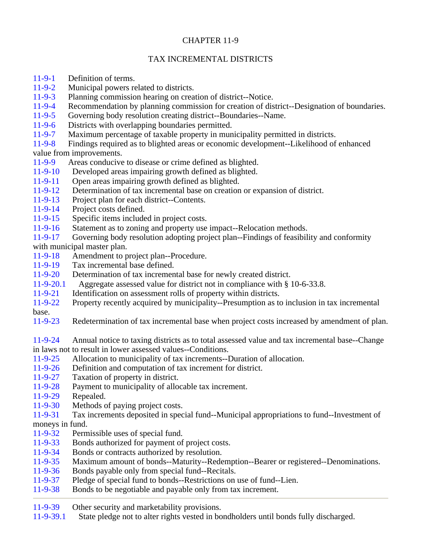## CHAPTER 11-9

## TAX INCREMENTAL DISTRICTS

- 11-9-1 Definition of terms.
- 11-9-2 Municipal powers related to districts.
- 11-9-3 Planning commission hearing on creation of district--Notice.
- 11-9-4 Recommendation by planning commission for creation of district--Designation of boundaries.
- 11-9-5 Governing body resolution creating district--Boundaries--Name.<br>11-9-6 Districts with overlapping boundaries permitted.
- Districts with overlapping boundaries permitted.
- 11-9-7 Maximum percentage of taxable property in municipality permitted in districts.

11-9-8 Findings required as to blighted areas or economic development--Likelihood of enhanced value from improvements.

- 11-9-9 Areas conducive to disease or crime defined as blighted.<br>11-9-10 Developed areas impairing growth defined as blighted.
- Developed areas impairing growth defined as blighted.
- 11-9-11 Open areas impairing growth defined as blighted.
- 11-9-12 Determination of tax incremental base on creation or expansion of district.
- 11-9-13 Project plan for each district--Contents.
- 11-9-14 Project costs defined.
- 11-9-15 Specific items included in project costs.
- 11-9-16 Statement as to zoning and property use impact--Relocation methods.

11-9-17 Governing body resolution adopting project plan--Findings of feasibility and conformity with municipal master plan.

- 11-9-18 Amendment to project plan--Procedure.
- 11-9-19 Tax incremental base defined.
- 11-9-20 Determination of tax incremental base for newly created district.
- 11-9-20.1 Aggregate assessed value for district not in compliance with § 10-6-33.8.
- 11-9-21 Identification on assessment rolls of property within districts.
- 11-9-22 Property recently acquired by municipality--Presumption as to inclusion in tax incremental
- base.
- 11-9-23 Redetermination of tax incremental base when project costs increased by amendment of plan.

11-9-24 Annual notice to taxing districts as to total assessed value and tax incremental base--Change in laws not to result in lower assessed values--Conditions.

- 11-9-25 Allocation to municipality of tax increments--Duration of allocation.
- 11-9-26 Definition and computation of tax increment for district.
- 11-9-27 Taxation of property in district.
- 11-9-28 Payment to municipality of allocable tax increment.
- 11-9-29 Repealed.
- 11-9-30 Methods of paying project costs.

11-9-31 Tax increments deposited in special fund--Municipal appropriations to fund--Investment of moneys in fund.

- 11-9-32 Permissible uses of special fund.
- 11-9-33 Bonds authorized for payment of project costs.
- 11-9-34 Bonds or contracts authorized by resolution.
- 11-9-35 Maximum amount of bonds--Maturity--Redemption--Bearer or registered--Denominations.
- 11-9-36 Bonds payable only from special fund--Recitals.
- 11-9-37 Pledge of special fund to bonds--Restrictions on use of fund--Lien.
- 11-9-38 Bonds to be negotiable and payable only from tax increment.
- 11-9-39 Other security and marketability provisions.
- 11-9-39.1 State pledge not to alter rights vested in bondholders until bonds fully discharged.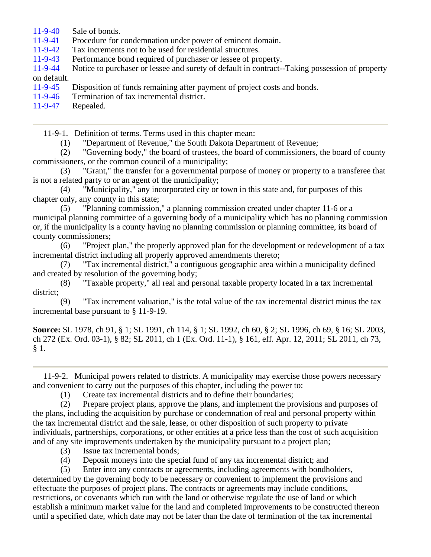- 11-9-40 Sale of bonds.
- 11-9-41 Procedure for condemnation under power of eminent domain.
- 11-9-42 Tax increments not to be used for residential structures.
- 11-9-43 Performance bond required of purchaser or lessee of property.

11-9-44 Notice to purchaser or lessee and surety of default in contract--Taking possession of property on default.

- 11-9-45 Disposition of funds remaining after payment of project costs and bonds.
- 11-9-46 Termination of tax incremental district.
- 11-9-47 Repealed.

11-9-1. Definition of terms. Terms used in this chapter mean:

(1) "Department of Revenue," the South Dakota Department of Revenue;

 (2) "Governing body," the board of trustees, the board of commissioners, the board of county commissioners, or the common council of a municipality;

 (3) "Grant," the transfer for a governmental purpose of money or property to a transferee that is not a related party to or an agent of the municipality;

 (4) "Municipality," any incorporated city or town in this state and, for purposes of this chapter only, any county in this state;

 (5) "Planning commission," a planning commission created under chapter 11-6 or a municipal planning committee of a governing body of a municipality which has no planning commission or, if the municipality is a county having no planning commission or planning committee, its board of county commissioners;

 (6) "Project plan," the properly approved plan for the development or redevelopment of a tax incremental district including all properly approved amendments thereto;

 (7) "Tax incremental district," a contiguous geographic area within a municipality defined and created by resolution of the governing body;

 (8) "Taxable property," all real and personal taxable property located in a tax incremental district;

 (9) "Tax increment valuation," is the total value of the tax incremental district minus the tax incremental base pursuant to § 11-9-19.

**Source:** SL 1978, ch 91, § 1; SL 1991, ch 114, § 1; SL 1992, ch 60, § 2; SL 1996, ch 69, § 16; SL 2003, ch 272 (Ex. Ord. 03-1), § 82; SL 2011, ch 1 (Ex. Ord. 11-1), § 161, eff. Apr. 12, 2011; SL 2011, ch 73, § 1.

 11-9-2. Municipal powers related to districts. A municipality may exercise those powers necessary and convenient to carry out the purposes of this chapter, including the power to:

(1) Create tax incremental districts and to define their boundaries;

 (2) Prepare project plans, approve the plans, and implement the provisions and purposes of the plans, including the acquisition by purchase or condemnation of real and personal property within the tax incremental district and the sale, lease, or other disposition of such property to private individuals, partnerships, corporations, or other entities at a price less than the cost of such acquisition and of any site improvements undertaken by the municipality pursuant to a project plan;

- (3) Issue tax incremental bonds;
- (4) Deposit moneys into the special fund of any tax incremental district; and

 (5) Enter into any contracts or agreements, including agreements with bondholders, determined by the governing body to be necessary or convenient to implement the provisions and effectuate the purposes of project plans. The contracts or agreements may include conditions, restrictions, or covenants which run with the land or otherwise regulate the use of land or which establish a minimum market value for the land and completed improvements to be constructed thereon until a specified date, which date may not be later than the date of termination of the tax incremental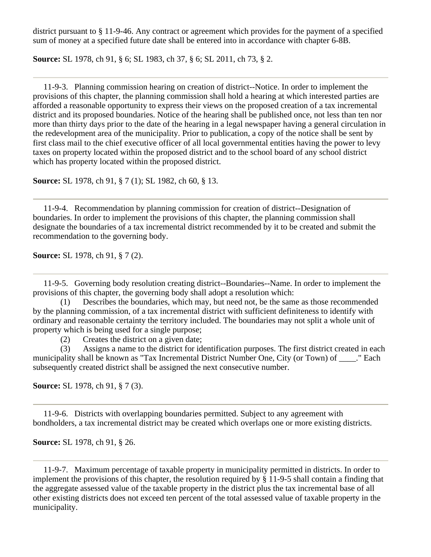district pursuant to § 11-9-46. Any contract or agreement which provides for the payment of a specified sum of money at a specified future date shall be entered into in accordance with chapter 6-8B.

**Source:** SL 1978, ch 91, § 6; SL 1983, ch 37, § 6; SL 2011, ch 73, § 2.

 11-9-3. Planning commission hearing on creation of district--Notice. In order to implement the provisions of this chapter, the planning commission shall hold a hearing at which interested parties are afforded a reasonable opportunity to express their views on the proposed creation of a tax incremental district and its proposed boundaries. Notice of the hearing shall be published once, not less than ten nor more than thirty days prior to the date of the hearing in a legal newspaper having a general circulation in the redevelopment area of the municipality. Prior to publication, a copy of the notice shall be sent by first class mail to the chief executive officer of all local governmental entities having the power to levy taxes on property located within the proposed district and to the school board of any school district which has property located within the proposed district.

**Source:** SL 1978, ch 91, § 7 (1); SL 1982, ch 60, § 13.

 11-9-4. Recommendation by planning commission for creation of district--Designation of boundaries. In order to implement the provisions of this chapter, the planning commission shall designate the boundaries of a tax incremental district recommended by it to be created and submit the recommendation to the governing body.

**Source:** SL 1978, ch 91, § 7 (2).

 11-9-5. Governing body resolution creating district--Boundaries--Name. In order to implement the provisions of this chapter, the governing body shall adopt a resolution which:

 (1) Describes the boundaries, which may, but need not, be the same as those recommended by the planning commission, of a tax incremental district with sufficient definiteness to identify with ordinary and reasonable certainty the territory included. The boundaries may not split a whole unit of property which is being used for a single purpose;

(2) Creates the district on a given date;

 (3) Assigns a name to the district for identification purposes. The first district created in each municipality shall be known as "Tax Incremental District Number One, City (or Town) of ..." Each subsequently created district shall be assigned the next consecutive number.

**Source:** SL 1978, ch 91, § 7 (3).

 11-9-6. Districts with overlapping boundaries permitted. Subject to any agreement with bondholders, a tax incremental district may be created which overlaps one or more existing districts.

**Source:** SL 1978, ch 91, § 26.

 11-9-7. Maximum percentage of taxable property in municipality permitted in districts. In order to implement the provisions of this chapter, the resolution required by § 11-9-5 shall contain a finding that the aggregate assessed value of the taxable property in the district plus the tax incremental base of all other existing districts does not exceed ten percent of the total assessed value of taxable property in the municipality.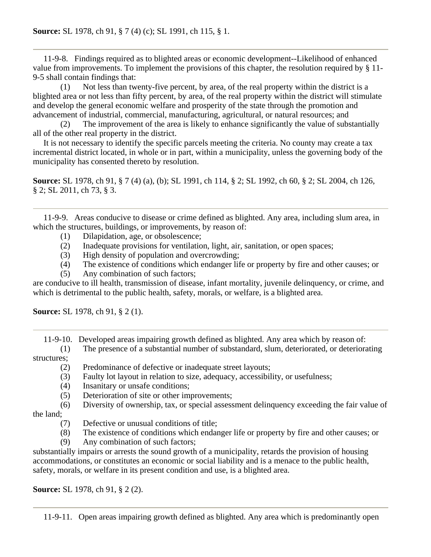11-9-8. Findings required as to blighted areas or economic development--Likelihood of enhanced value from improvements. To implement the provisions of this chapter, the resolution required by § 11- 9-5 shall contain findings that:

 (1) Not less than twenty-five percent, by area, of the real property within the district is a blighted area or not less than fifty percent, by area, of the real property within the district will stimulate and develop the general economic welfare and prosperity of the state through the promotion and advancement of industrial, commercial, manufacturing, agricultural, or natural resources; and

 (2) The improvement of the area is likely to enhance significantly the value of substantially all of the other real property in the district.

 It is not necessary to identify the specific parcels meeting the criteria. No county may create a tax incremental district located, in whole or in part, within a municipality, unless the governing body of the municipality has consented thereto by resolution.

**Source:** SL 1978, ch 91, § 7 (4) (a), (b); SL 1991, ch 114, § 2; SL 1992, ch 60, § 2; SL 2004, ch 126, § 2; SL 2011, ch 73, § 3.

 11-9-9. Areas conducive to disease or crime defined as blighted. Any area, including slum area, in which the structures, buildings, or improvements, by reason of:

- (1) Dilapidation, age, or obsolescence;
- (2) Inadequate provisions for ventilation, light, air, sanitation, or open spaces;
- (3) High density of population and overcrowding;
- (4) The existence of conditions which endanger life or property by fire and other causes; or
- (5) Any combination of such factors;

are conducive to ill health, transmission of disease, infant mortality, juvenile delinquency, or crime, and which is detrimental to the public health, safety, morals, or welfare, is a blighted area.

**Source:** SL 1978, ch 91, § 2 (1).

11-9-10. Developed areas impairing growth defined as blighted. Any area which by reason of:

 (1) The presence of a substantial number of substandard, slum, deteriorated, or deteriorating structures;

- (2) Predominance of defective or inadequate street layouts;
- (3) Faulty lot layout in relation to size, adequacy, accessibility, or usefulness;
- (4) Insanitary or unsafe conditions;
- (5) Deterioration of site or other improvements;
- (6) Diversity of ownership, tax, or special assessment delinquency exceeding the fair value of the land;
	- (7) Defective or unusual conditions of title;
	- (8) The existence of conditions which endanger life or property by fire and other causes; or
	- (9) Any combination of such factors;

substantially impairs or arrests the sound growth of a municipality, retards the provision of housing accommodations, or constitutes an economic or social liability and is a menace to the public health, safety, morals, or welfare in its present condition and use, is a blighted area.

**Source:** SL 1978, ch 91, § 2 (2).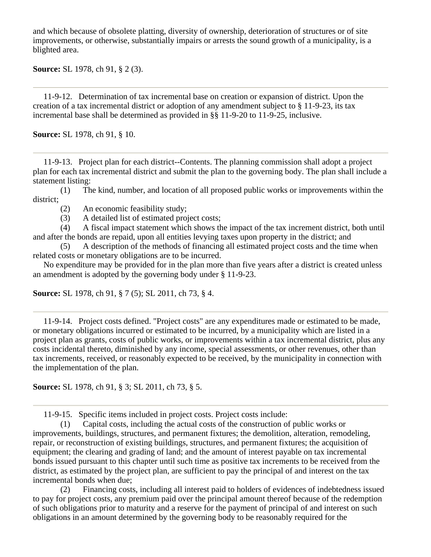and which because of obsolete platting, diversity of ownership, deterioration of structures or of site improvements, or otherwise, substantially impairs or arrests the sound growth of a municipality, is a blighted area.

**Source:** SL 1978, ch 91, § 2 (3).

 11-9-12. Determination of tax incremental base on creation or expansion of district. Upon the creation of a tax incremental district or adoption of any amendment subject to § 11-9-23, its tax incremental base shall be determined as provided in §§ 11-9-20 to 11-9-25, inclusive.

**Source:** SL 1978, ch 91, § 10.

 11-9-13. Project plan for each district--Contents. The planning commission shall adopt a project plan for each tax incremental district and submit the plan to the governing body. The plan shall include a statement listing:

 (1) The kind, number, and location of all proposed public works or improvements within the district;

(2) An economic feasibility study;

(3) A detailed list of estimated project costs;

 (4) A fiscal impact statement which shows the impact of the tax increment district, both until and after the bonds are repaid, upon all entities levying taxes upon property in the district; and

 (5) A description of the methods of financing all estimated project costs and the time when related costs or monetary obligations are to be incurred.

 No expenditure may be provided for in the plan more than five years after a district is created unless an amendment is adopted by the governing body under § 11-9-23.

**Source:** SL 1978, ch 91, § 7 (5); SL 2011, ch 73, § 4.

 11-9-14. Project costs defined. "Project costs" are any expenditures made or estimated to be made, or monetary obligations incurred or estimated to be incurred, by a municipality which are listed in a project plan as grants, costs of public works, or improvements within a tax incremental district, plus any costs incidental thereto, diminished by any income, special assessments, or other revenues, other than tax increments, received, or reasonably expected to be received, by the municipality in connection with the implementation of the plan.

**Source:** SL 1978, ch 91, § 3; SL 2011, ch 73, § 5.

11-9-15. Specific items included in project costs. Project costs include:

 (1) Capital costs, including the actual costs of the construction of public works or improvements, buildings, structures, and permanent fixtures; the demolition, alteration, remodeling, repair, or reconstruction of existing buildings, structures, and permanent fixtures; the acquisition of equipment; the clearing and grading of land; and the amount of interest payable on tax incremental bonds issued pursuant to this chapter until such time as positive tax increments to be received from the district, as estimated by the project plan, are sufficient to pay the principal of and interest on the tax incremental bonds when due;

 (2) Financing costs, including all interest paid to holders of evidences of indebtedness issued to pay for project costs, any premium paid over the principal amount thereof because of the redemption of such obligations prior to maturity and a reserve for the payment of principal of and interest on such obligations in an amount determined by the governing body to be reasonably required for the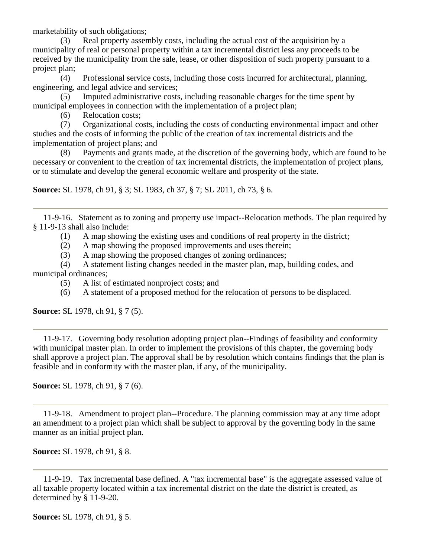marketability of such obligations;

 (3) Real property assembly costs, including the actual cost of the acquisition by a municipality of real or personal property within a tax incremental district less any proceeds to be received by the municipality from the sale, lease, or other disposition of such property pursuant to a project plan;

 (4) Professional service costs, including those costs incurred for architectural, planning, engineering, and legal advice and services;

 (5) Imputed administrative costs, including reasonable charges for the time spent by municipal employees in connection with the implementation of a project plan;

(6) Relocation costs;

 (7) Organizational costs, including the costs of conducting environmental impact and other studies and the costs of informing the public of the creation of tax incremental districts and the implementation of project plans; and

 (8) Payments and grants made, at the discretion of the governing body, which are found to be necessary or convenient to the creation of tax incremental districts, the implementation of project plans, or to stimulate and develop the general economic welfare and prosperity of the state.

**Source:** SL 1978, ch 91, § 3; SL 1983, ch 37, § 7; SL 2011, ch 73, § 6.

 11-9-16. Statement as to zoning and property use impact--Relocation methods. The plan required by § 11-9-13 shall also include:

(1) A map showing the existing uses and conditions of real property in the district;

(2) A map showing the proposed improvements and uses therein;

(3) A map showing the proposed changes of zoning ordinances;

 (4) A statement listing changes needed in the master plan, map, building codes, and municipal ordinances;

- (5) A list of estimated nonproject costs; and
- (6) A statement of a proposed method for the relocation of persons to be displaced.

**Source:** SL 1978, ch 91, § 7 (5).

 11-9-17. Governing body resolution adopting project plan--Findings of feasibility and conformity with municipal master plan. In order to implement the provisions of this chapter, the governing body shall approve a project plan. The approval shall be by resolution which contains findings that the plan is feasible and in conformity with the master plan, if any, of the municipality.

**Source:** SL 1978, ch 91, § 7 (6).

 11-9-18. Amendment to project plan--Procedure. The planning commission may at any time adopt an amendment to a project plan which shall be subject to approval by the governing body in the same manner as an initial project plan.

**Source:** SL 1978, ch 91, § 8.

 11-9-19. Tax incremental base defined. A "tax incremental base" is the aggregate assessed value of all taxable property located within a tax incremental district on the date the district is created, as determined by § 11-9-20.

**Source:** SL 1978, ch 91, § 5.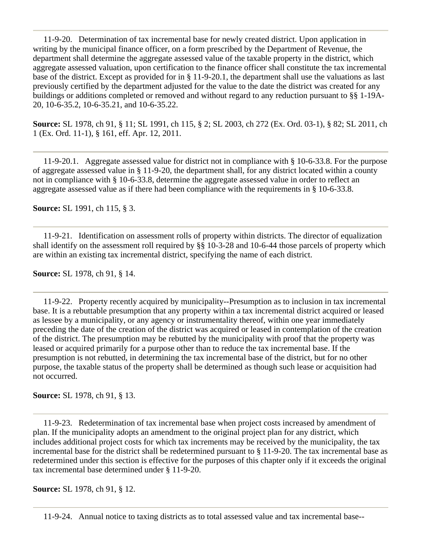11-9-20. Determination of tax incremental base for newly created district. Upon application in writing by the municipal finance officer, on a form prescribed by the Department of Revenue, the department shall determine the aggregate assessed value of the taxable property in the district, which aggregate assessed valuation, upon certification to the finance officer shall constitute the tax incremental base of the district. Except as provided for in § 11-9-20.1, the department shall use the valuations as last previously certified by the department adjusted for the value to the date the district was created for any buildings or additions completed or removed and without regard to any reduction pursuant to §§ 1-19A-20, 10-6-35.2, 10-6-35.21, and 10-6-35.22.

**Source:** SL 1978, ch 91, § 11; SL 1991, ch 115, § 2; SL 2003, ch 272 (Ex. Ord. 03-1), § 82; SL 2011, ch 1 (Ex. Ord. 11-1), § 161, eff. Apr. 12, 2011.

 11-9-20.1. Aggregate assessed value for district not in compliance with § 10-6-33.8. For the purpose of aggregate assessed value in § 11-9-20, the department shall, for any district located within a county not in compliance with § 10-6-33.8, determine the aggregate assessed value in order to reflect an aggregate assessed value as if there had been compliance with the requirements in § 10-6-33.8.

**Source:** SL 1991, ch 115, § 3.

 11-9-21. Identification on assessment rolls of property within districts. The director of equalization shall identify on the assessment roll required by §§ 10-3-28 and 10-6-44 those parcels of property which are within an existing tax incremental district, specifying the name of each district.

**Source:** SL 1978, ch 91, § 14.

 11-9-22. Property recently acquired by municipality--Presumption as to inclusion in tax incremental base. It is a rebuttable presumption that any property within a tax incremental district acquired or leased as lessee by a municipality, or any agency or instrumentality thereof, within one year immediately preceding the date of the creation of the district was acquired or leased in contemplation of the creation of the district. The presumption may be rebutted by the municipality with proof that the property was leased or acquired primarily for a purpose other than to reduce the tax incremental base. If the presumption is not rebutted, in determining the tax incremental base of the district, but for no other purpose, the taxable status of the property shall be determined as though such lease or acquisition had not occurred.

**Source:** SL 1978, ch 91, § 13.

 11-9-23. Redetermination of tax incremental base when project costs increased by amendment of plan. If the municipality adopts an amendment to the original project plan for any district, which includes additional project costs for which tax increments may be received by the municipality, the tax incremental base for the district shall be redetermined pursuant to § 11-9-20. The tax incremental base as redetermined under this section is effective for the purposes of this chapter only if it exceeds the original tax incremental base determined under § 11-9-20.

**Source:** SL 1978, ch 91, § 12.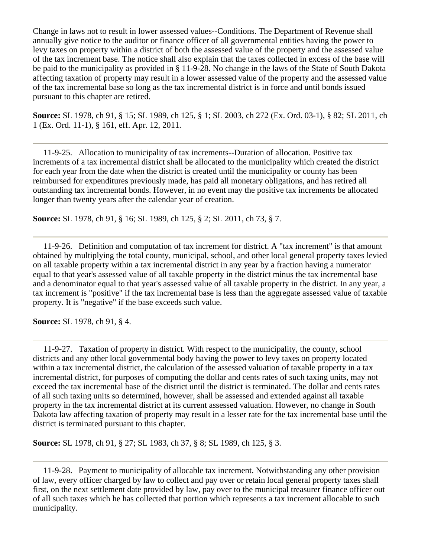Change in laws not to result in lower assessed values--Conditions. The Department of Revenue shall annually give notice to the auditor or finance officer of all governmental entities having the power to levy taxes on property within a district of both the assessed value of the property and the assessed value of the tax increment base. The notice shall also explain that the taxes collected in excess of the base will be paid to the municipality as provided in § 11-9-28. No change in the laws of the State of South Dakota affecting taxation of property may result in a lower assessed value of the property and the assessed value of the tax incremental base so long as the tax incremental district is in force and until bonds issued pursuant to this chapter are retired.

**Source:** SL 1978, ch 91, § 15; SL 1989, ch 125, § 1; SL 2003, ch 272 (Ex. Ord. 03-1), § 82; SL 2011, ch 1 (Ex. Ord. 11-1), § 161, eff. Apr. 12, 2011.

 11-9-25. Allocation to municipality of tax increments--Duration of allocation. Positive tax increments of a tax incremental district shall be allocated to the municipality which created the district for each year from the date when the district is created until the municipality or county has been reimbursed for expenditures previously made, has paid all monetary obligations, and has retired all outstanding tax incremental bonds. However, in no event may the positive tax increments be allocated longer than twenty years after the calendar year of creation.

**Source:** SL 1978, ch 91, § 16; SL 1989, ch 125, § 2; SL 2011, ch 73, § 7.

 11-9-26. Definition and computation of tax increment for district. A "tax increment" is that amount obtained by multiplying the total county, municipal, school, and other local general property taxes levied on all taxable property within a tax incremental district in any year by a fraction having a numerator equal to that year's assessed value of all taxable property in the district minus the tax incremental base and a denominator equal to that year's assessed value of all taxable property in the district. In any year, a tax increment is "positive" if the tax incremental base is less than the aggregate assessed value of taxable property. It is "negative" if the base exceeds such value.

**Source:** SL 1978, ch 91, § 4.

 11-9-27. Taxation of property in district. With respect to the municipality, the county, school districts and any other local governmental body having the power to levy taxes on property located within a tax incremental district, the calculation of the assessed valuation of taxable property in a tax incremental district, for purposes of computing the dollar and cents rates of such taxing units, may not exceed the tax incremental base of the district until the district is terminated. The dollar and cents rates of all such taxing units so determined, however, shall be assessed and extended against all taxable property in the tax incremental district at its current assessed valuation. However, no change in South Dakota law affecting taxation of property may result in a lesser rate for the tax incremental base until the district is terminated pursuant to this chapter.

**Source:** SL 1978, ch 91, § 27; SL 1983, ch 37, § 8; SL 1989, ch 125, § 3.

 11-9-28. Payment to municipality of allocable tax increment. Notwithstanding any other provision of law, every officer charged by law to collect and pay over or retain local general property taxes shall first, on the next settlement date provided by law, pay over to the municipal treasurer finance officer out of all such taxes which he has collected that portion which represents a tax increment allocable to such municipality.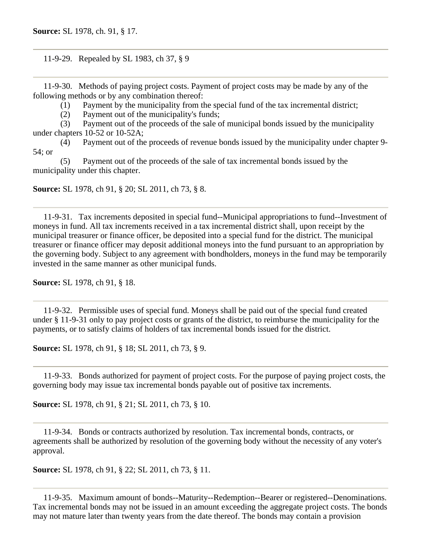11-9-29. Repealed by SL 1983, ch 37, § 9

 11-9-30. Methods of paying project costs. Payment of project costs may be made by any of the following methods or by any combination thereof:

(1) Payment by the municipality from the special fund of the tax incremental district;

(2) Payment out of the municipality's funds;

 (3) Payment out of the proceeds of the sale of municipal bonds issued by the municipality under chapters 10-52 or 10-52A;

 (4) Payment out of the proceeds of revenue bonds issued by the municipality under chapter 9- 54; or

 (5) Payment out of the proceeds of the sale of tax incremental bonds issued by the municipality under this chapter.

**Source:** SL 1978, ch 91, § 20; SL 2011, ch 73, § 8.

 11-9-31. Tax increments deposited in special fund--Municipal appropriations to fund--Investment of moneys in fund. All tax increments received in a tax incremental district shall, upon receipt by the municipal treasurer or finance officer, be deposited into a special fund for the district. The municipal treasurer or finance officer may deposit additional moneys into the fund pursuant to an appropriation by the governing body. Subject to any agreement with bondholders, moneys in the fund may be temporarily invested in the same manner as other municipal funds.

**Source:** SL 1978, ch 91, § 18.

 11-9-32. Permissible uses of special fund. Moneys shall be paid out of the special fund created under § 11-9-31 only to pay project costs or grants of the district, to reimburse the municipality for the payments, or to satisfy claims of holders of tax incremental bonds issued for the district.

**Source:** SL 1978, ch 91, § 18; SL 2011, ch 73, § 9.

 11-9-33. Bonds authorized for payment of project costs. For the purpose of paying project costs, the governing body may issue tax incremental bonds payable out of positive tax increments.

**Source:** SL 1978, ch 91, § 21; SL 2011, ch 73, § 10.

 11-9-34. Bonds or contracts authorized by resolution. Tax incremental bonds, contracts, or agreements shall be authorized by resolution of the governing body without the necessity of any voter's approval.

**Source:** SL 1978, ch 91, § 22; SL 2011, ch 73, § 11.

 11-9-35. Maximum amount of bonds--Maturity--Redemption--Bearer or registered--Denominations. Tax incremental bonds may not be issued in an amount exceeding the aggregate project costs. The bonds may not mature later than twenty years from the date thereof. The bonds may contain a provision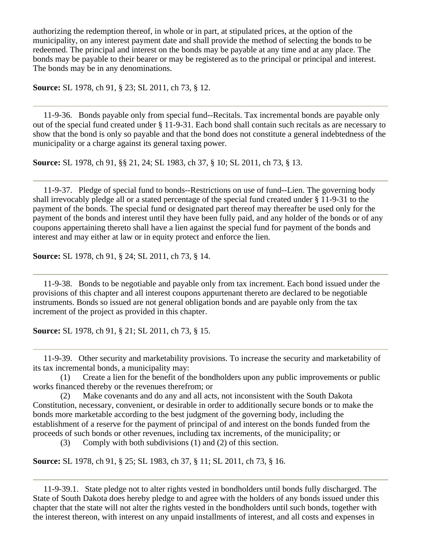authorizing the redemption thereof, in whole or in part, at stipulated prices, at the option of the municipality, on any interest payment date and shall provide the method of selecting the bonds to be redeemed. The principal and interest on the bonds may be payable at any time and at any place. The bonds may be payable to their bearer or may be registered as to the principal or principal and interest. The bonds may be in any denominations.

**Source:** SL 1978, ch 91, § 23; SL 2011, ch 73, § 12.

 11-9-36. Bonds payable only from special fund--Recitals. Tax incremental bonds are payable only out of the special fund created under § 11-9-31. Each bond shall contain such recitals as are necessary to show that the bond is only so payable and that the bond does not constitute a general indebtedness of the municipality or a charge against its general taxing power.

**Source:** SL 1978, ch 91, §§ 21, 24; SL 1983, ch 37, § 10; SL 2011, ch 73, § 13.

 11-9-37. Pledge of special fund to bonds--Restrictions on use of fund--Lien. The governing body shall irrevocably pledge all or a stated percentage of the special fund created under § 11-9-31 to the payment of the bonds. The special fund or designated part thereof may thereafter be used only for the payment of the bonds and interest until they have been fully paid, and any holder of the bonds or of any coupons appertaining thereto shall have a lien against the special fund for payment of the bonds and interest and may either at law or in equity protect and enforce the lien.

**Source:** SL 1978, ch 91, § 24; SL 2011, ch 73, § 14.

 11-9-38. Bonds to be negotiable and payable only from tax increment. Each bond issued under the provisions of this chapter and all interest coupons appurtenant thereto are declared to be negotiable instruments. Bonds so issued are not general obligation bonds and are payable only from the tax increment of the project as provided in this chapter.

**Source:** SL 1978, ch 91, § 21; SL 2011, ch 73, § 15.

 11-9-39. Other security and marketability provisions. To increase the security and marketability of its tax incremental bonds, a municipality may:

 (1) Create a lien for the benefit of the bondholders upon any public improvements or public works financed thereby or the revenues therefrom; or

 (2) Make covenants and do any and all acts, not inconsistent with the South Dakota Constitution, necessary, convenient, or desirable in order to additionally secure bonds or to make the bonds more marketable according to the best judgment of the governing body, including the establishment of a reserve for the payment of principal of and interest on the bonds funded from the proceeds of such bonds or other revenues, including tax increments, of the municipality; or

(3) Comply with both subdivisions (1) and (2) of this section.

**Source:** SL 1978, ch 91, § 25; SL 1983, ch 37, § 11; SL 2011, ch 73, § 16.

 11-9-39.1. State pledge not to alter rights vested in bondholders until bonds fully discharged. The State of South Dakota does hereby pledge to and agree with the holders of any bonds issued under this chapter that the state will not alter the rights vested in the bondholders until such bonds, together with the interest thereon, with interest on any unpaid installments of interest, and all costs and expenses in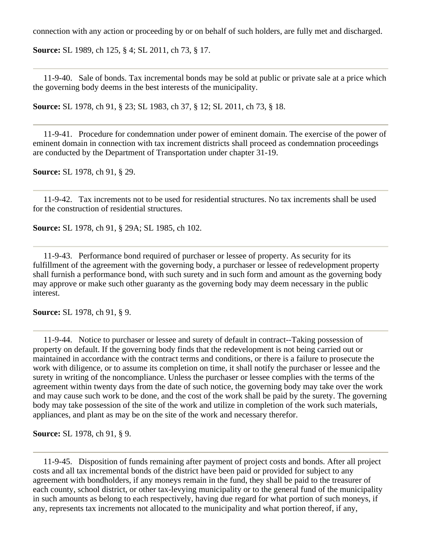connection with any action or proceeding by or on behalf of such holders, are fully met and discharged.

**Source:** SL 1989, ch 125, § 4; SL 2011, ch 73, § 17.

 11-9-40. Sale of bonds. Tax incremental bonds may be sold at public or private sale at a price which the governing body deems in the best interests of the municipality.

**Source:** SL 1978, ch 91, § 23; SL 1983, ch 37, § 12; SL 2011, ch 73, § 18.

 11-9-41. Procedure for condemnation under power of eminent domain. The exercise of the power of eminent domain in connection with tax increment districts shall proceed as condemnation proceedings are conducted by the Department of Transportation under chapter 31-19.

**Source:** SL 1978, ch 91, § 29.

 11-9-42. Tax increments not to be used for residential structures. No tax increments shall be used for the construction of residential structures.

**Source:** SL 1978, ch 91, § 29A; SL 1985, ch 102.

 11-9-43. Performance bond required of purchaser or lessee of property. As security for its fulfillment of the agreement with the governing body, a purchaser or lessee of redevelopment property shall furnish a performance bond, with such surety and in such form and amount as the governing body may approve or make such other guaranty as the governing body may deem necessary in the public interest.

**Source:** SL 1978, ch 91, § 9.

 11-9-44. Notice to purchaser or lessee and surety of default in contract--Taking possession of property on default. If the governing body finds that the redevelopment is not being carried out or maintained in accordance with the contract terms and conditions, or there is a failure to prosecute the work with diligence, or to assume its completion on time, it shall notify the purchaser or lessee and the surety in writing of the noncompliance. Unless the purchaser or lessee complies with the terms of the agreement within twenty days from the date of such notice, the governing body may take over the work and may cause such work to be done, and the cost of the work shall be paid by the surety. The governing body may take possession of the site of the work and utilize in completion of the work such materials, appliances, and plant as may be on the site of the work and necessary therefor.

**Source:** SL 1978, ch 91, § 9.

 11-9-45. Disposition of funds remaining after payment of project costs and bonds. After all project costs and all tax incremental bonds of the district have been paid or provided for subject to any agreement with bondholders, if any moneys remain in the fund, they shall be paid to the treasurer of each county, school district, or other tax-levying municipality or to the general fund of the municipality in such amounts as belong to each respectively, having due regard for what portion of such moneys, if any, represents tax increments not allocated to the municipality and what portion thereof, if any,